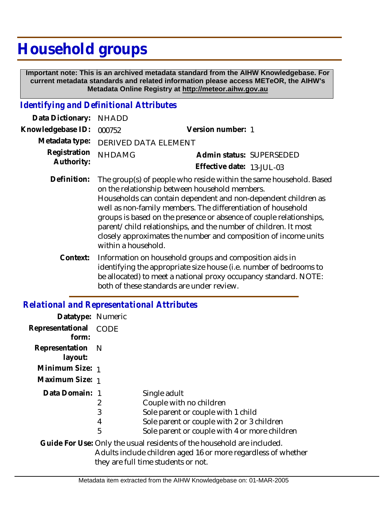## **Household groups**

 **Important note: This is an archived metadata standard from the AIHW Knowledgebase. For current metadata standards and related information please access METeOR, the AIHW's Metadata Online Registry at http://meteor.aihw.gov.au**

## *Identifying and Definitional Attributes*

| Data Dictionary: NHADD     |                                                                                                                      |                           |                          |
|----------------------------|----------------------------------------------------------------------------------------------------------------------|---------------------------|--------------------------|
| Knowledgebase ID: 000752   |                                                                                                                      | Version number: 1         |                          |
|                            | Metadata type: DERIVED DATA ELEMENT                                                                                  |                           |                          |
| Registration<br>Authority: | <b>NHDAMG</b>                                                                                                        | Effective date: 13-JUL-03 | Admin status: SUPERSEDED |
| Definition:                | The group(s) of people who reside within the same household. Based<br>on the relationship between household members. |                           |                          |

- Households can contain dependent and non-dependent children as well as non-family members. The differentiation of household groups is based on the presence or absence of couple relationships, parent/child relationships, and the number of children. It most closely approximates the number and composition of income units within a household.
- Information on household groups and composition aids in identifying the appropriate size house (i.e. number of bedrooms to be allocated) to meet a national proxy occupancy standard. NOTE: both of these standards are under review. **Context:**

## *Relational and Representational Attributes*

| Datatype: Numeric           |                  |                                                                                                                                                                              |
|-----------------------------|------------------|------------------------------------------------------------------------------------------------------------------------------------------------------------------------------|
| Representational<br>form:   | <b>CODE</b>      |                                                                                                                                                                              |
| Representation N<br>layout: |                  |                                                                                                                                                                              |
| Minimum Size: 1             |                  |                                                                                                                                                                              |
| Maximum Size: 1             |                  |                                                                                                                                                                              |
| Data Domain: 1              | 2<br>3<br>4<br>5 | Single adult<br>Couple with no children<br>Sole parent or couple with 1 child<br>Sole parent or couple with 2 or 3 children<br>Sole parent or couple with 4 or more children |
|                             |                  | Guide For Use: Only the usual residents of the household are included.<br>Adults include children aged 16 or more regardless of whether                                      |

they are full time students or not.